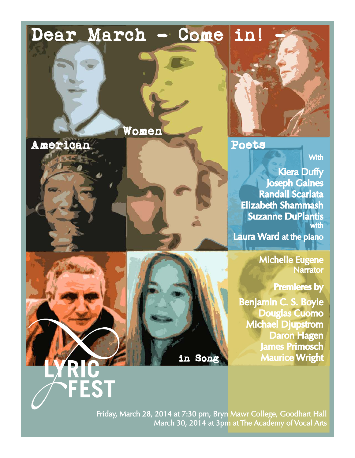# Dear March - Come in!

Women

American Poets

FEST

**With** 

Kiera Duffy Joseph Gaines Randall Scarlata Elizabeth Shammash Suzanne DuPlantis with Laura Ward at the piano

> Michelle Eugene Narrator

> > Premieres by

Benjamin C. S. Boyle Douglas Cuomo Michael Djupstrom Daron Hagen James Primosch in Song Maurice Wright

Friday, March 28, 2014 at 7:30 pm, Bryn Mawr College, Goodhart Hall March 30, 2014 at 3pm at The Academy of Vocal Arts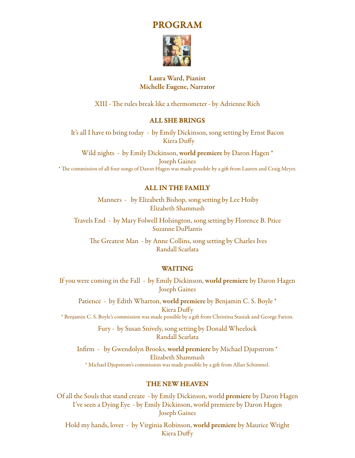PROGRAM



# Laura Ward, Pianist Michelle Eugene, Narrator

XIII - The rules break like a thermometer - by Adrienne Rich

# ALL SHE BRINGS

It's all I have to bring today - by Emily Dickinson, song setting by Ernst Bacon Kiera Duffy

Wild nights - by Emily Dickinson, world premiere by Daron Hagen \* Joseph Gaines \* The commission of all four songs of Daron Hagen was made possible by a gift from Lauren and Craig Meyer.

# ALL IN THE FAMILY

 Manners - by Elizabeth Bishop, song setting by Lee Hoiby Elizabeth Shammash

Travels End - by Mary Folwell Holsington, song setting by Florence B. Price Suzanne DuPlantis

 The Greatest Man - by Anne Collins, song setting by Charles Ives Randall Scarlata

# WAITING

If you were coming in the Fall - by Emily Dickinson, world premiere by Daron Hagen Joseph Gaines

Patience - by Edith Wharton, world premiere by Benjamin C. S. Boyle \* Kiera Duffy \* Benjamin C. S. Boyle's commission was made possible by a gift from Christina Stasiuk and George Farion.

> Fury - by Susan Snively, song setting by Donald Wheelock Randall Scarlata

Infirm - by Gwendolyn Brooks, world premiere by Michael Djupstrom \* Elizabeth Shammash \* Michael Djupstrom's commission was made possible by a gift from Allan Schimmel.

# THE NEW HEAVEN

Of all the Souls that stand create - by Emily Dickinson, world premiere by Daron Hagen I've seen a Dying Eye - by Emily Dickinson, world premiere by Daron Hagen Joseph Gaines

Hold my hands, lover - by Virginia Robinson, world premiere by Maurice Wright Kiera Duffy